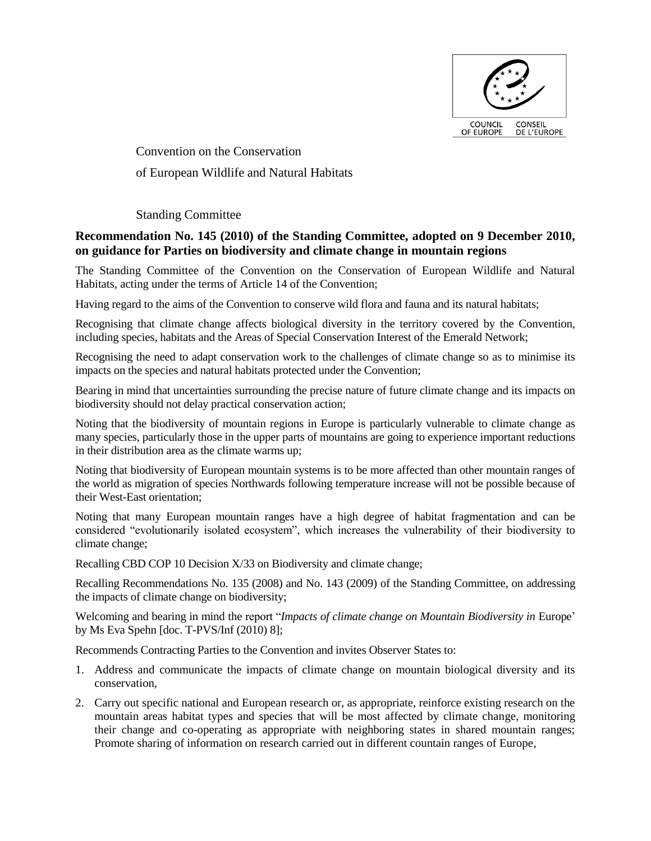

Convention on the Conservation of European Wildlife and Natural Habitats

Standing Committee

# **Recommendation No. 145 (2010) of the Standing Committee, adopted on 9 December 2010, on guidance for Parties on biodiversity and climate change in mountain regions**

The Standing Committee of the Convention on the Conservation of European Wildlife and Natural Habitats, acting under the terms of Article 14 of the Convention;

Having regard to the aims of the Convention to conserve wild flora and fauna and its natural habitats;

Recognising that climate change affects biological diversity in the territory covered by the Convention, including species, habitats and the Areas of Special Conservation Interest of the Emerald Network;

Recognising the need to adapt conservation work to the challenges of climate change so as to minimise its impacts on the species and natural habitats protected under the Convention;

Bearing in mind that uncertainties surrounding the precise nature of future climate change and its impacts on biodiversity should not delay practical conservation action;

Noting that the biodiversity of mountain regions in Europe is particularly vulnerable to climate change as many species, particularly those in the upper parts of mountains are going to experience important reductions in their distribution area as the climate warms up;

Noting that biodiversity of European mountain systems is to be more affected than other mountain ranges of the world as migration of species Northwards following temperature increase will not be possible because of their West-East orientation;

Noting that many European mountain ranges have a high degree of habitat fragmentation and can be considered "evolutionarily isolated ecosystem", which increases the vulnerability of their biodiversity to climate change;

Recalling CBD COP 10 Decision X/33 on Biodiversity and climate change;

Recalling Recommendations No. 135 (2008) and No. 143 (2009) of the Standing Committee, on addressing the impacts of climate change on biodiversity;

Welcoming and bearing in mind the report "*Impacts of climate change on Mountain Biodiversity in* Europe' by Ms Eva Spehn [doc. T-PVS/Inf (2010) 8];

Recommends Contracting Parties to the Convention and invites Observer States to:

- 1. Address and communicate the impacts of climate change on mountain biological diversity and its conservation,
- 2. Carry out specific national and European research or, as appropriate, reinforce existing research on the mountain areas habitat types and species that will be most affected by climate change, monitoring their change and co-operating as appropriate with neighboring states in shared mountain ranges; Promote sharing of information on research carried out in different countain ranges of Europe,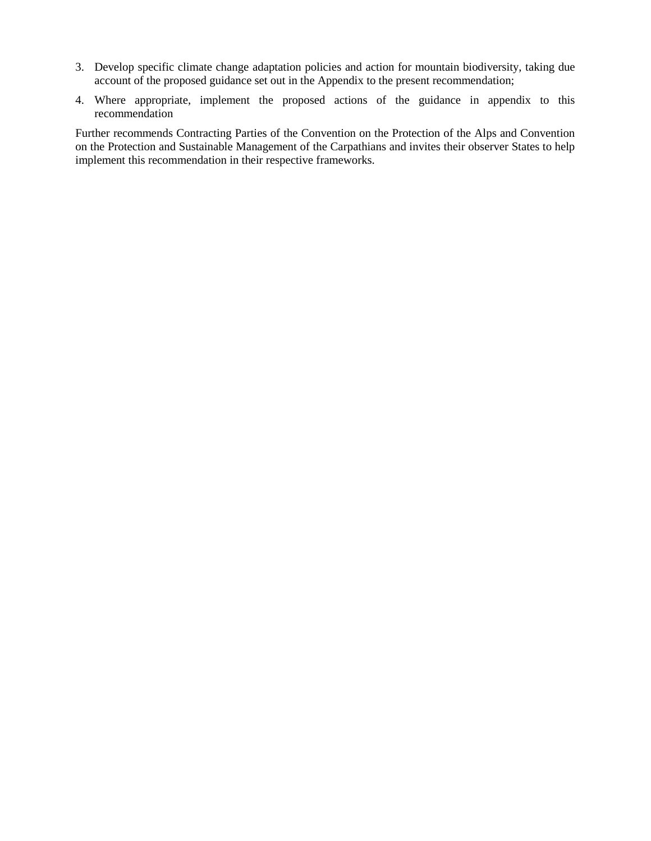- 3. Develop specific climate change adaptation policies and action for mountain biodiversity, taking due account of the proposed guidance set out in the Appendix to the present recommendation;
- 4. Where appropriate, implement the proposed actions of the guidance in appendix to this recommendation

Further recommends Contracting Parties of the Convention on the Protection of the Alps and Convention on the Protection and Sustainable Management of the Carpathians and invites their observer States to help implement this recommendation in their respective frameworks.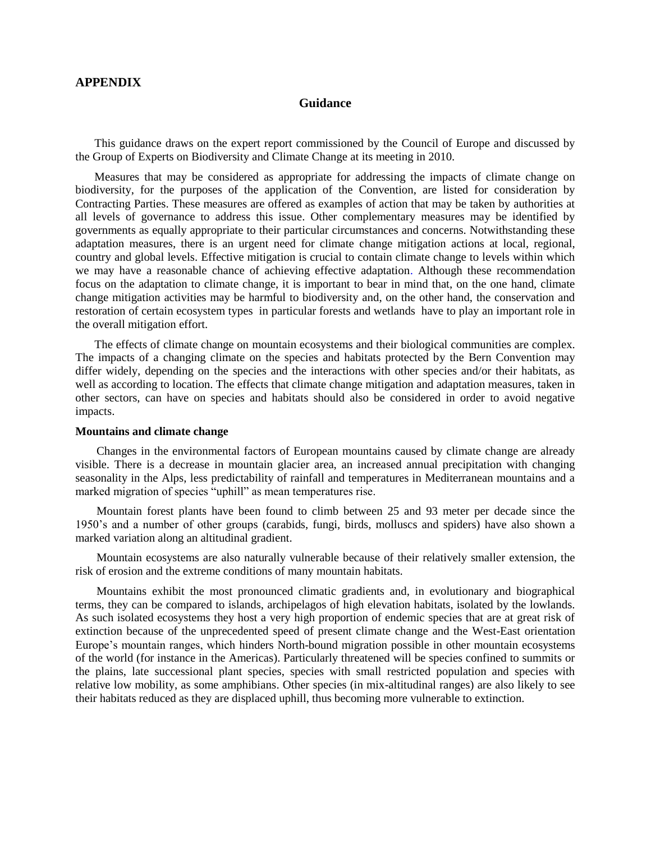# **APPENDIX**

## **Guidance**

This guidance draws on the expert report commissioned by the Council of Europe and discussed by the Group of Experts on Biodiversity and Climate Change at its meeting in 2010.

Measures that may be considered as appropriate for addressing the impacts of climate change on biodiversity, for the purposes of the application of the Convention, are listed for consideration by Contracting Parties. These measures are offered as examples of action that may be taken by authorities at all levels of governance to address this issue. Other complementary measures may be identified by governments as equally appropriate to their particular circumstances and concerns. Notwithstanding these adaptation measures, there is an urgent need for climate change mitigation actions at local, regional, country and global levels. Effective mitigation is crucial to contain climate change to levels within which we may have a reasonable chance of achieving effective adaptation. Although these recommendation focus on the adaptation to climate change, it is important to bear in mind that, on the one hand, climate change mitigation activities may be harmful to biodiversity and, on the other hand, the conservation and restoration of certain ecosystem types in particular forests and wetlands have to play an important role in the overall mitigation effort.

The effects of climate change on mountain ecosystems and their biological communities are complex. The impacts of a changing climate on the species and habitats protected by the Bern Convention may differ widely, depending on the species and the interactions with other species and/or their habitats, as well as according to location. The effects that climate change mitigation and adaptation measures, taken in other sectors, can have on species and habitats should also be considered in order to avoid negative impacts.

### **Mountains and climate change**

Changes in the environmental factors of European mountains caused by climate change are already visible. There is a decrease in mountain glacier area, an increased annual precipitation with changing seasonality in the Alps, less predictability of rainfall and temperatures in Mediterranean mountains and a marked migration of species "uphill" as mean temperatures rise.

Mountain forest plants have been found to climb between 25 and 93 meter per decade since the 1950's and a number of other groups (carabids, fungi, birds, molluscs and spiders) have also shown a marked variation along an altitudinal gradient.

Mountain ecosystems are also naturally vulnerable because of their relatively smaller extension, the risk of erosion and the extreme conditions of many mountain habitats.

Mountains exhibit the most pronounced climatic gradients and, in evolutionary and biographical terms, they can be compared to islands, archipelagos of high elevation habitats, isolated by the lowlands. As such isolated ecosystems they host a very high proportion of endemic species that are at great risk of extinction because of the unprecedented speed of present climate change and the West-East orientation Europe's mountain ranges, which hinders North-bound migration possible in other mountain ecosystems of the world (for instance in the Americas). Particularly threatened will be species confined to summits or the plains, late successional plant species, species with small restricted population and species with relative low mobility, as some amphibians. Other species (in mix-altitudinal ranges) are also likely to see their habitats reduced as they are displaced uphill, thus becoming more vulnerable to extinction.